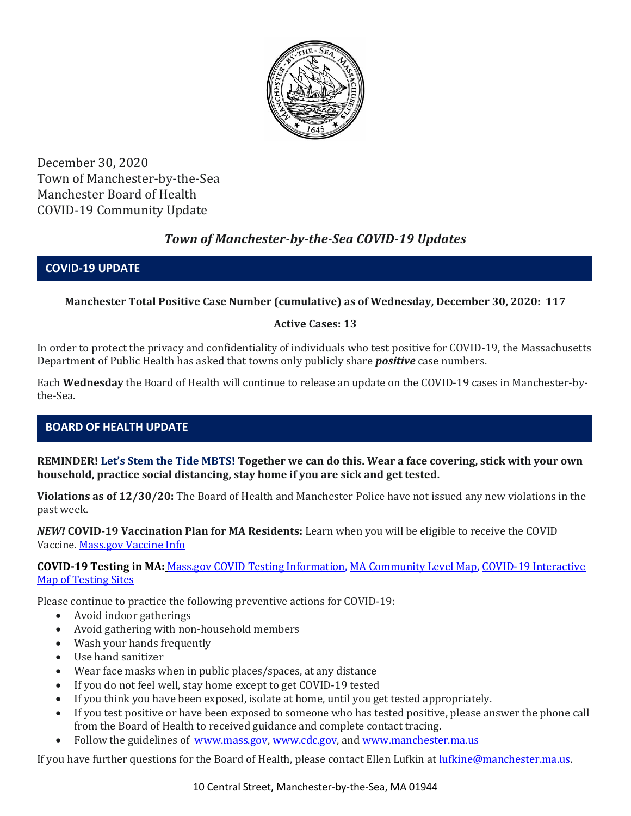

December 30, 2020 Town of Manchester-by-the-Sea Manchester Board of Health COVID-19 Community Update

# *Town of Manchester-by-the-Sea COVID-19 Updates*

### **COVID-19 UPDATE**

## **Manchester Total Positive Case Number (cumulative) as of Wednesday, December 30, 2020: 117**

### **Active Cases: 13**

In order to protect the privacy and confidentiality of individuals who test positive for COVID-19, the Massachusetts Department of Public Health has asked that towns only publicly share *positive* case numbers.

Each **Wednesday** the Board of Health will continue to release an update on the COVID-19 cases in Manchester-bythe-Sea.

# **BOARD OF HEALTH UPDATE**

**REMINDER! Let's Stem the Tide MBTS! Together we can do this. Wear a face covering, stick with your own household, practice social distancing, stay home if you are sick and get tested.** 

**Violations as of 12/30/20:** The Board of Health and Manchester Police have not issued any new violations in the past week.

*NEW!* **COVID-19 Vaccination Plan for MA Residents:** Learn when you will be eligible to receive the COVID Vaccine. [Mass.gov Vaccine Info](https://www.mass.gov/info-details/when-can-i-get-the-covid-19-vaccine)

**COVID-19 Testing in MA:** [Mass.gov COVID Testing Information,](https://www.mass.gov/covid-19-testing) [MA Community Level Map,](https://www.mass.gov/info-details/community-level-covid-19-data-reporting) [COVID-19 Interactive](https://memamaps.maps.arcgis.com/apps/webappviewer/index.html?id=eba3f0395451430b9f631cb095febf13)  [Map of Testing Sites](https://memamaps.maps.arcgis.com/apps/webappviewer/index.html?id=eba3f0395451430b9f631cb095febf13)

Please continue to practice the following preventive actions for COVID-19:

- Avoid indoor gatherings
- Avoid gathering with non-household members
- Wash your hands frequently
- Use hand sanitizer
- Wear face masks when in public places/spaces, at any distance
- If you do not feel well, stay home except to get COVID-19 tested
- If you think you have been exposed, isolate at home, until you get tested appropriately.
- If you test positive or have been exposed to someone who has tested positive, please answer the phone call from the Board of Health to received guidance and complete contact tracing.
- Follow the guidelines of [www.mass.gov,](https://www.mass.gov/) [www.cdc.gov,](https://www.cdc.gov/) and [www.manchester.ma.us](http://www.manchester.ma.us/)

If you have further questions for the Board of Health, please contact Ellen Lufkin at [lufkine@manchester.ma.us.](mailto:lufkine@manchester.ma.us)

10 Central Street, Manchester-by-the-Sea, MA 01944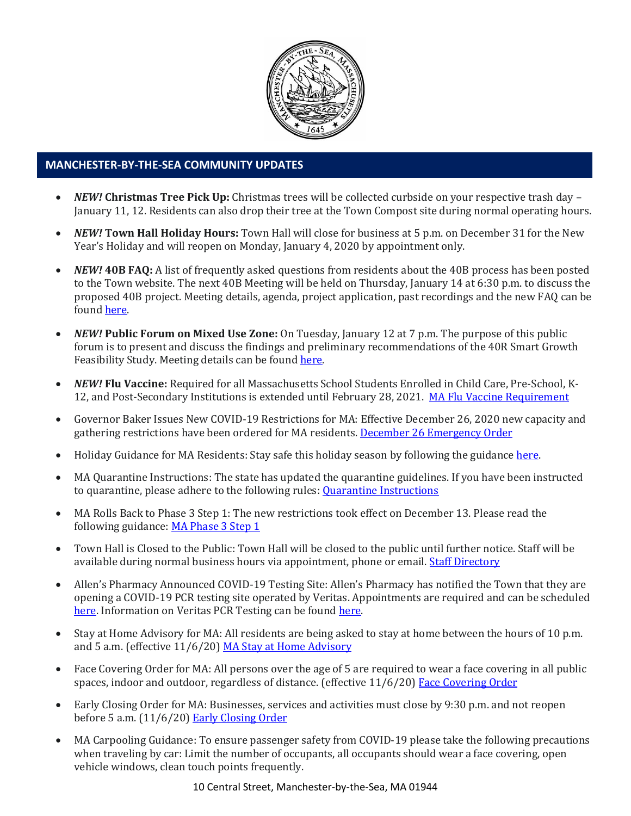

#### **MANCHESTER-BY-THE-SEA COMMUNITY UPDATES**

- *NEW!* **Christmas Tree Pick Up:** Christmas trees will be collected curbside on your respective trash day January 11, 12. Residents can also drop their tree at the Town Compost site during normal operating hours.
- *NEW!* **Town Hall Holiday Hours:** Town Hall will close for business at 5 p.m. on December 31 for the New Year's Holiday and will reopen on Monday, January 4, 2020 by appointment only.
- *NEW!* **40B FAQ:** A list of frequently asked questions from residents about the 40B process has been posted to the Town website. The next 40B Meeting will be held on Thursday, January 14 at 6:30 p.m. to discuss the proposed 40B project. Meeting details, agenda, project application, past recordings and the new FAQ can be found [here.](http://manchester.ma.us/729/40B)
- *NEW!* **Public Forum on Mixed Use Zone:** On Tuesday, January 12 at 7 p.m. The purpose of this public forum is to present and discuss the findings and preliminary recommendations of the 40R Smart Growth Feasibility Study. Meeting details can be foun[d here.](http://manchester.ma.us/731/40RLCD-Study)
- *NEW!* **Flu Vaccine:** Required for all Massachusetts School Students Enrolled in Child Care, Pre-School, K-12, and Post-Secondary Institutions is extended until February 28, 2021. [MA Flu Vaccine Requirement](https://www.mass.gov/news/flu-vaccine-now-required-for-all-massachusetts-school-students-enrolled-in-child-care-pre)
- Governor Baker Issues New COVID-19 Restrictions for MA: Effective December 26, 2020 new capacity and gathering restrictions have been ordered for MA residents[. December 26 Emergency Order](http://manchester.ma.us/DocumentCenter/View/3582/1222-MA-emergency-order)
- Holiday Guidance for MA Residents: Stay safe this holiday season by following the guidance [here.](https://www.mass.gov/news/december-holiday-guidance)
- MA Quarantine Instructions: The state has updated the quarantine guidelines. If you have been instructed to quarantine, please adhere to the following rules: [Quarantine Instructions](http://manchester.ma.us/DocumentCenter/View/3558/14-10-7-day-COVID19_Quarantine-information-1272020)
- MA Rolls Back to Phase 3 Step 1: The new restrictions took effect on December 13. Please read the following guidance: [MA Phase 3 Step 1](https://www.mass.gov/news/baker-polito-administration-announces-statewide-rollback-to-phase-three-step-one-additional)
- Town Hall is Closed to the Public: Town Hall will be closed to the public until further notice. Staff will be available during normal business hours via appointment, phone or email. [Staff Directory](http://manchester.ma.us/directory.aspx)
- Allen's Pharmacy Announced COVID-19 Testing Site: Allen's Pharmacy has notified the Town that they are opening a COVID-19 PCR testing site operated by Veritas. Appointments are required and can be scheduled [here.](https://schedule.veritasgenetics.com/) Information on Veritas PCR Testing can be found [here.](https://www.veritasgenetics.com/covid-molecular/)
- Stay at Home Advisory for MA: All residents are being asked to stay at home between the hours of 10 p.m. and 5 a.m. (effective 11/6/20) [MA Stay at Home Advisory](https://www.mass.gov/news/stay-at-home-advisory)
- Face Covering Order for MA: All persons over the age of 5 are required to wear a face covering in all public spaces, indoor and outdoor, regardless of distance. (effective 11/6/20) [Face Covering Order](http://manchester.ma.us/DocumentCenter/View/3499/Revised-Face-Coverings-Order-No-55-1?fbclid=IwAR1a7l39TKetEAZ_mA8K6saG2GZ1dRBKA9-xuJJ3tDlAVUGCp7YatZmCKEo)
- Early Closing Order for MA: Businesses, services and activities must close by 9:30 p.m. and not reopen before 5 a.m. (11/6/20) [Early Closing Order](http://manchester.ma.us/DocumentCenter/View/3497/Early-Closing-and-Alcohol-Order-No-53-1?fbclid=IwAR0HIJzh646XAhpCz_miIpRMdh-nd_BhPpuljf5k-rkQey8DCI-dVFIfMlk)
- MA Carpooling Guidance: To ensure passenger safety from COVID-19 please take the following precautions when traveling by car: Limit the number of occupants, all occupants should wear a face covering, open vehicle windows, clean touch points frequently.